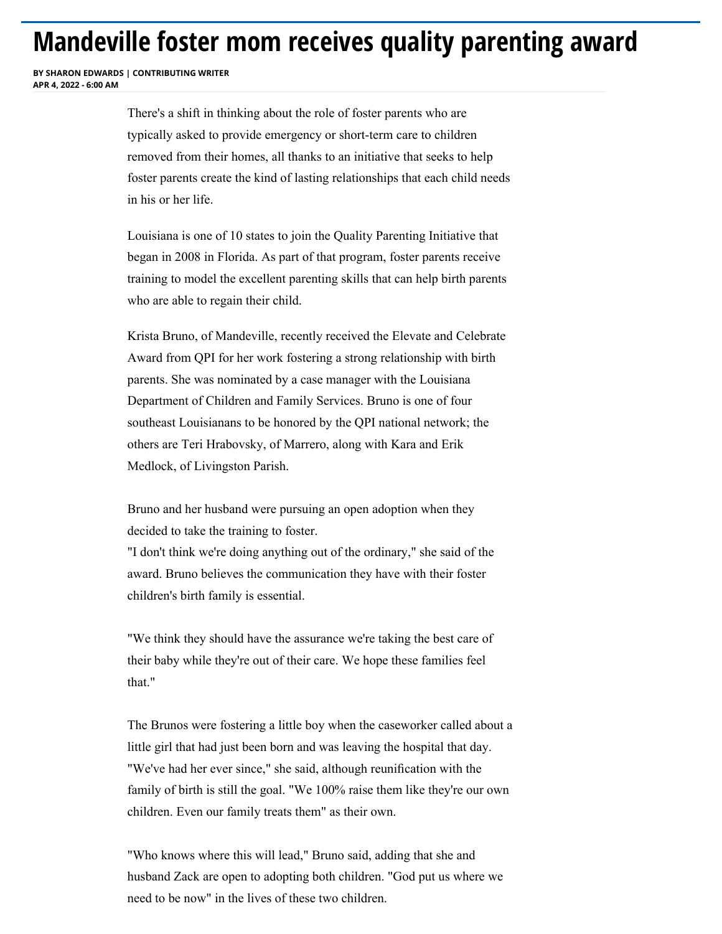## **Mandeville foster mom receives quality parenting award**

**BY SHARON EDWARDS | CONTRIBUTING WRITER APR 4 2022 - 6:00 AM** 

> There's a shift in thinking about the role of foster parents who are typically asked to provide emergency or short-term care to children removed from their homes, all thanks to an initiative that seeks to help foster parents create the kind of lasting relationships that each child needs in his or her life.

Louisiana is one of 10 states to join the Quality Parenting Initiative that began in 2008 in Florida. As part of that program, foster parents receive training to model the excellent parenting skills that can help birth parents who are able to regain their child.

Krista Bruno, of Mandeville, recently received the Elevate and Celebrate Award from QPI for her work fostering a strong relationship with birth parents. She was nominated by a case manager with the Louisiana Department of Children and Family Services. Bruno is one of four southeast Louisianans to be honored by the QPI national network; the others are Teri Hrabovsky, of Marrero, along with Kara and Erik Medlock, of Livingston Parish.

Bruno and her husband were pursuing an open adoption when they decided to take the training to foster.

"I don't think we're doing anything out of the ordinary," she said of the award. Bruno believes the communication they have with their foster children's birth family is essential.

"We think they should have the assurance we're taking the best care of their baby while they're out of their care. We hope these families feel that."

[The Brunos were fostering a little boy when the caseworker called about a](https://googleads.g.doubleclick.net/pcs/click?xai=AKAOjssE9AS19DmF97-843F_b0Svxtn1uHKdJXxlgiBCt-6vOTc3bRQ7-V1k3mYxW8ZAuhGtIXLR16xDqwY6q8Dtq-h0uIqmBIxdDBBk4DfiiFuUAo12t8RrXG0OwFVF7Q-4dJ_Mb8UBGby5qjyYDtNbLGrtY73FnTMcO950pvSCJQnE-VV0YN46wKjh8-Vycd2bui5_ueL0IlHSqICo3RJOtFIOLu5MJaSnmbAhyIsh6E7qVDdrUrZH60Sb7gMIBPKVON0ja4EmAQ53lwCYJ0OeM1QW3CFdPkgbyRC-gh-NsNcUF4oOsO0unKAMbeecZ1_0AoD_2lSVWP31G4KRRg8&sai=AMfl-YQV_FV7vH2qtD7DVGw8yEv_HrSTcdfMzCcY7yQGFXzpFzGhYM-J_KGk818-IYTs5L9qdC9_-ysCMT_SgVTXp5QLnRVuiHMm7RtsPMKS&sig=Cg0ArKJSzG3664ACFLY3&fbs_aeid=%5Bgw_fbsaeid%5D&adurl=https://www.nola.com/sports/betting/)  little girl that had just been born and was leaving the hospital that day. "We've had her ever since," she said, although reunification with the family of birth is still the goal. "We 100% raise them like they're our own children. Even our family treats them" as their own.

"Who knows where this will lead," Bruno said, adding that she and husband Zack are open to adopting both children. "God put us where we need to be now" in the lives of these two children.